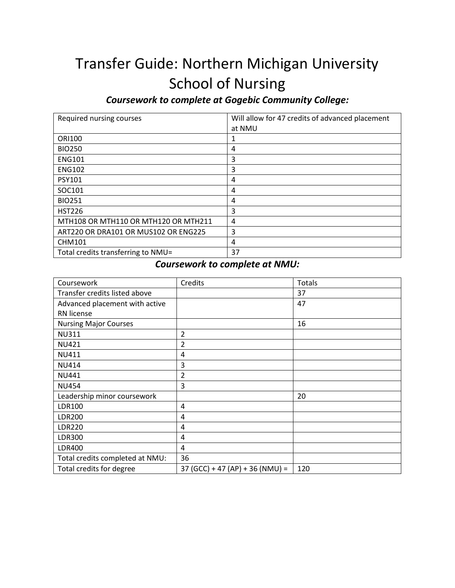# Transfer Guide: Northern Michigan University School of Nursing

*Coursework to complete at Gogebic Community College:*

| Required nursing courses             | Will allow for 47 credits of advanced placement |
|--------------------------------------|-------------------------------------------------|
|                                      | at NMU                                          |
| <b>ORI100</b>                        | 1                                               |
| <b>BIO250</b>                        | 4                                               |
| <b>ENG101</b>                        | 3                                               |
| <b>ENG102</b>                        | 3                                               |
| <b>PSY101</b>                        | 4                                               |
| SOC101                               | 4                                               |
| <b>BIO251</b>                        | 4                                               |
| <b>HST226</b>                        | 3                                               |
| MTH108 OR MTH110 OR MTH120 OR MTH211 | 4                                               |
| ART220 OR DRA101 OR MUS102 OR ENG225 | 3                                               |
| <b>CHM101</b>                        | 4                                               |
| Total credits transferring to NMU=   | 37                                              |

### *Coursework to complete at NMU:*

| Coursework                      | Credits                           | Totals |
|---------------------------------|-----------------------------------|--------|
| Transfer credits listed above   |                                   | 37     |
| Advanced placement with active  |                                   | 47     |
| RN license                      |                                   |        |
| <b>Nursing Major Courses</b>    |                                   | 16     |
| <b>NU311</b>                    | $\overline{2}$                    |        |
| <b>NU421</b>                    | 2                                 |        |
| <b>NU411</b>                    | 4                                 |        |
| <b>NU414</b>                    | 3                                 |        |
| <b>NU441</b>                    | $\overline{2}$                    |        |
| <b>NU454</b>                    | 3                                 |        |
| Leadership minor coursework     |                                   | 20     |
| <b>LDR100</b>                   | 4                                 |        |
| <b>LDR200</b>                   | 4                                 |        |
| <b>LDR220</b>                   | 4                                 |        |
| <b>LDR300</b>                   | 4                                 |        |
| <b>LDR400</b>                   | 4                                 |        |
| Total credits completed at NMU: | 36                                |        |
| Total credits for degree        | $37 (GCC) + 47 (AP) + 36 (NMU) =$ | 120    |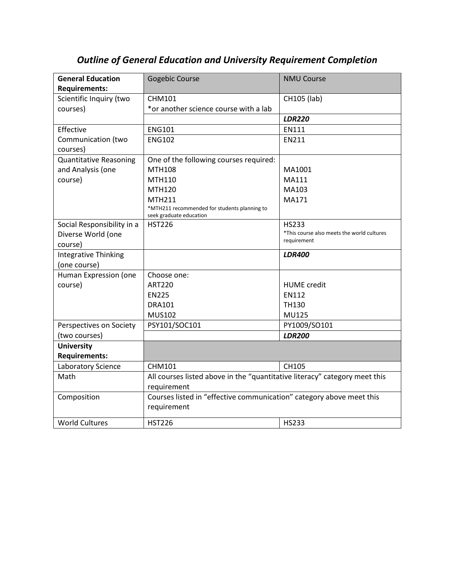| <b>General Education</b>      | <b>Gogebic Course</b>                                                                     | <b>NMU Course</b>                          |
|-------------------------------|-------------------------------------------------------------------------------------------|--------------------------------------------|
| <b>Requirements:</b>          |                                                                                           |                                            |
| Scientific Inquiry (two       | <b>CHM101</b>                                                                             | CH105 (lab)                                |
| courses)                      | *or another science course with a lab                                                     |                                            |
|                               |                                                                                           | <b>LDR220</b>                              |
|                               |                                                                                           |                                            |
| Effective                     | <b>ENG101</b>                                                                             | EN111                                      |
| Communication (two            | <b>ENG102</b>                                                                             | EN211                                      |
| courses)                      |                                                                                           |                                            |
| <b>Quantitative Reasoning</b> | One of the following courses required:                                                    |                                            |
| and Analysis (one             | <b>MTH108</b>                                                                             | MA1001                                     |
| course)                       | MTH110                                                                                    | MA111                                      |
|                               | MTH120                                                                                    | MA103                                      |
|                               | <b>MTH211</b>                                                                             | MA171                                      |
|                               | *MTH211 recommended for students planning to<br>seek graduate education                   |                                            |
| Social Responsibility in a    | <b>HST226</b>                                                                             | <b>HS233</b>                               |
| Diverse World (one            |                                                                                           | *This course also meets the world cultures |
| course)                       |                                                                                           | requirement                                |
| <b>Integrative Thinking</b>   |                                                                                           | <b>LDR400</b>                              |
| (one course)                  |                                                                                           |                                            |
| Human Expression (one         | Choose one:                                                                               |                                            |
| course)                       | <b>ART220</b>                                                                             | <b>HUME</b> credit                         |
|                               | <b>EN225</b>                                                                              | <b>EN112</b>                               |
|                               | <b>DRA101</b>                                                                             | <b>TH130</b>                               |
|                               | <b>MUS102</b>                                                                             | <b>MU125</b>                               |
| Perspectives on Society       | PSY101/SOC101                                                                             | PY1009/SO101                               |
| (two courses)                 |                                                                                           | <b>LDR200</b>                              |
| <b>University</b>             |                                                                                           |                                            |
| <b>Requirements:</b>          |                                                                                           |                                            |
| Laboratory Science            | <b>CHM101</b>                                                                             | CH105                                      |
| Math                          | All courses listed above in the "quantitative literacy" category meet this<br>requirement |                                            |
| Composition                   | Courses listed in "effective communication" category above meet this<br>requirement       |                                            |
| <b>World Cultures</b>         | <b>HST226</b>                                                                             | <b>HS233</b>                               |

## *Outline of General Education and University Requirement Completion*